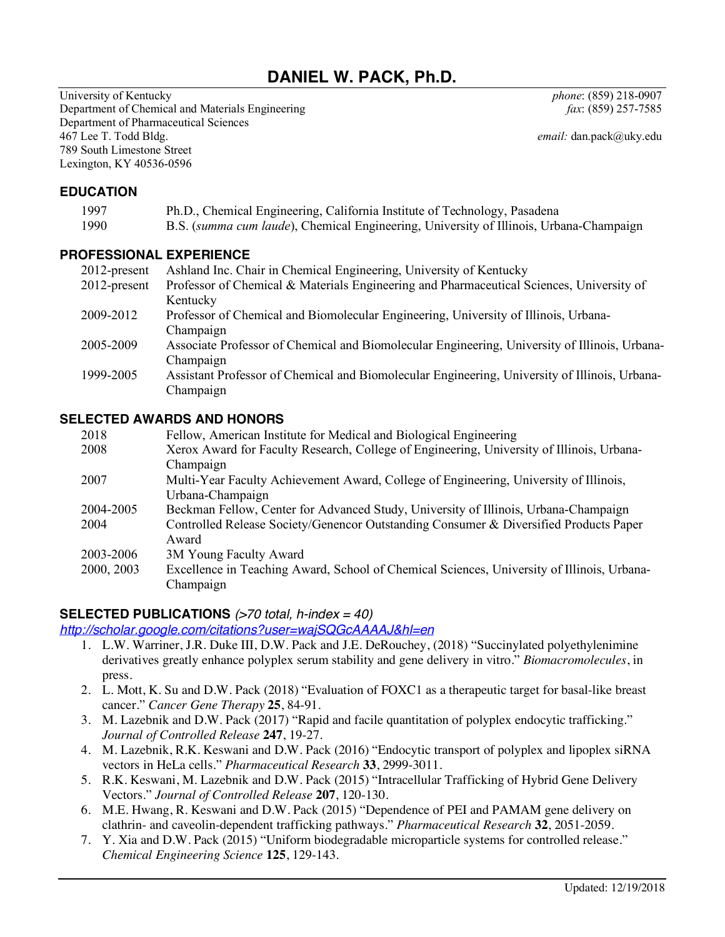# **DANIEL W. PACK, Ph.D.**

University of Kentucky *phone*: (859) 218-0907 Department of Chemical and Materials Engineering *fax*: (859) 257-7585 Department of Pharmaceutical Sciences 467 Lee T. Todd Bldg. *email:* dan.pack@uky.edu 789 South Limestone Street Lexington, KY 40536-0596

#### **EDUCATION**

| 1997 | Ph.D., Chemical Engineering, California Institute of Technology, Pasadena              |
|------|----------------------------------------------------------------------------------------|
| 1990 | B.S. (summa cum laude), Chemical Engineering, University of Illinois, Urbana-Champaign |

#### **PROFESSIONAL EXPERIENCE**

| $2012$ -present | Ashland Inc. Chair in Chemical Engineering, University of Kentucky                            |
|-----------------|-----------------------------------------------------------------------------------------------|
| $2012$ -present | Professor of Chemical & Materials Engineering and Pharmaceutical Sciences, University of      |
|                 | Kentucky                                                                                      |
| 2009-2012       | Professor of Chemical and Biomolecular Engineering, University of Illinois, Urbana-           |
|                 | Champaign                                                                                     |
| 2005-2009       | Associate Professor of Chemical and Biomolecular Engineering, University of Illinois, Urbana- |
|                 | Champaign                                                                                     |
| 1999-2005       | Assistant Professor of Chemical and Biomolecular Engineering, University of Illinois, Urbana- |
|                 | Champaign                                                                                     |

#### **SELECTED AWARDS AND HONORS**

| 2018       | Fellow, American Institute for Medical and Biological Engineering                          |
|------------|--------------------------------------------------------------------------------------------|
| 2008       | Xerox Award for Faculty Research, College of Engineering, University of Illinois, Urbana-  |
|            | Champaign                                                                                  |
| 2007       | Multi-Year Faculty Achievement Award, College of Engineering, University of Illinois,      |
|            | Urbana-Champaign                                                                           |
| 2004-2005  | Beckman Fellow, Center for Advanced Study, University of Illinois, Urbana-Champaign        |
| 2004       | Controlled Release Society/Genencor Outstanding Consumer & Diversified Products Paper      |
|            | Award                                                                                      |
| 2003-2006  | 3M Young Faculty Award                                                                     |
| 2000, 2003 | Excellence in Teaching Award, School of Chemical Sciences, University of Illinois, Urbana- |
|            | Champaign                                                                                  |

#### **SELECTED PUBLICATIONS** *(>70 total, h-index = 40)*

*http://scholar.google.com/citations?user=wajSQGcAAAAJ&hl=en*

- 1. L.W. Warriner, J.R. Duke III, D.W. Pack and J.E. DeRouchey, (2018) "Succinylated polyethylenimine derivatives greatly enhance polyplex serum stability and gene delivery in vitro." *Biomacromolecules*, in press.
- 2. L. Mott, K. Su and D.W. Pack (2018) "Evaluation of FOXC1 as a therapeutic target for basal-like breast cancer." *Cancer Gene Therapy* **25**, 84-91.
- 3. M. Lazebnik and D.W. Pack (2017) "Rapid and facile quantitation of polyplex endocytic trafficking." *Journal of Controlled Release* **247**, 19-27.
- 4. M. Lazebnik, R.K. Keswani and D.W. Pack (2016) "Endocytic transport of polyplex and lipoplex siRNA vectors in HeLa cells." *Pharmaceutical Research* **33**, 2999-3011.
- 5. R.K. Keswani, M. Lazebnik and D.W. Pack (2015) "Intracellular Trafficking of Hybrid Gene Delivery Vectors." *Journal of Controlled Release* **207**, 120-130.
- 6. M.E. Hwang, R. Keswani and D.W. Pack (2015) "Dependence of PEI and PAMAM gene delivery on clathrin- and caveolin-dependent trafficking pathways." *Pharmaceutical Research* **32**, 2051-2059.
- 7. Y. Xia and D.W. Pack (2015) "Uniform biodegradable microparticle systems for controlled release." *Chemical Engineering Science* **125**, 129-143.